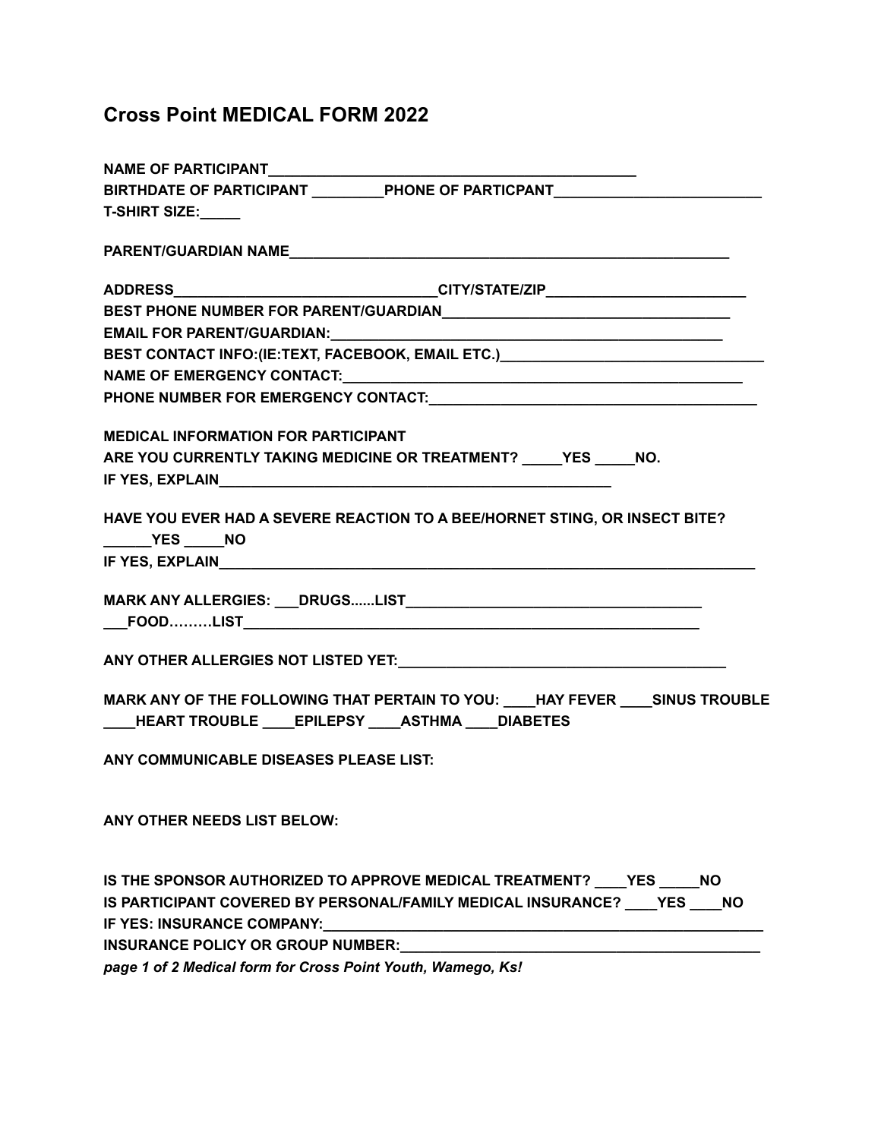## **Cross Point MEDICAL FORM 2022**

| NAME OF PARTICIPANT______________                           |                                                                                                                       |
|-------------------------------------------------------------|-----------------------------------------------------------------------------------------------------------------------|
|                                                             | BIRTHDATE OF PARTICIPANT ___________PHONE OF PARTICPANT_________________________                                      |
| <b>T-SHIRT SIZE:</b>                                        |                                                                                                                       |
|                                                             |                                                                                                                       |
|                                                             | ADDRESS_________________________________CITY/STATE/ZIP__________________________                                      |
|                                                             |                                                                                                                       |
|                                                             |                                                                                                                       |
|                                                             | BEST CONTACT INFO:(IE:TEXT, FACEBOOK, EMAIL ETC.) CONTENTLY AND THE REST CONTACT INFO:(IE:TEXT, FACEBOOK, EMAIL ETC.) |
|                                                             |                                                                                                                       |
|                                                             |                                                                                                                       |
| <b>MEDICAL INFORMATION FOR PARTICIPANT</b>                  |                                                                                                                       |
|                                                             | ARE YOU CURRENTLY TAKING MEDICINE OR TREATMENT? _____ YES _____ NO.                                                   |
|                                                             |                                                                                                                       |
| <b>THES</b> NO                                              | HAVE YOU EVER HAD A SEVERE REACTION TO A BEE/HORNET STING, OR INSECT BITE?                                            |
|                                                             |                                                                                                                       |
| ____HEART TROUBLE ____EPILEPSY ____ASTHMA ____ DIABETES     | MARK ANY OF THE FOLLOWING THAT PERTAIN TO YOU: ____HAY FEVER ____ SINUS TROUBLE                                       |
| ANY COMMUNICABLE DISEASES PLEASE LIST:                      |                                                                                                                       |
| ANY OTHER NEEDS LIST BELOW:                                 |                                                                                                                       |
|                                                             | IS THE SPONSOR AUTHORIZED TO APPROVE MEDICAL TREATMENT? YES NO                                                        |
|                                                             | IS PARTICIPANT COVERED BY PERSONAL/FAMILY MEDICAL INSURANCE? YES NO                                                   |
|                                                             |                                                                                                                       |
| <b>INSURANCE POLICY OR GROUP NUMBER:</b>                    |                                                                                                                       |
| page 1 of 2 Medical form for Cross Point Youth, Wamego, Ks! |                                                                                                                       |